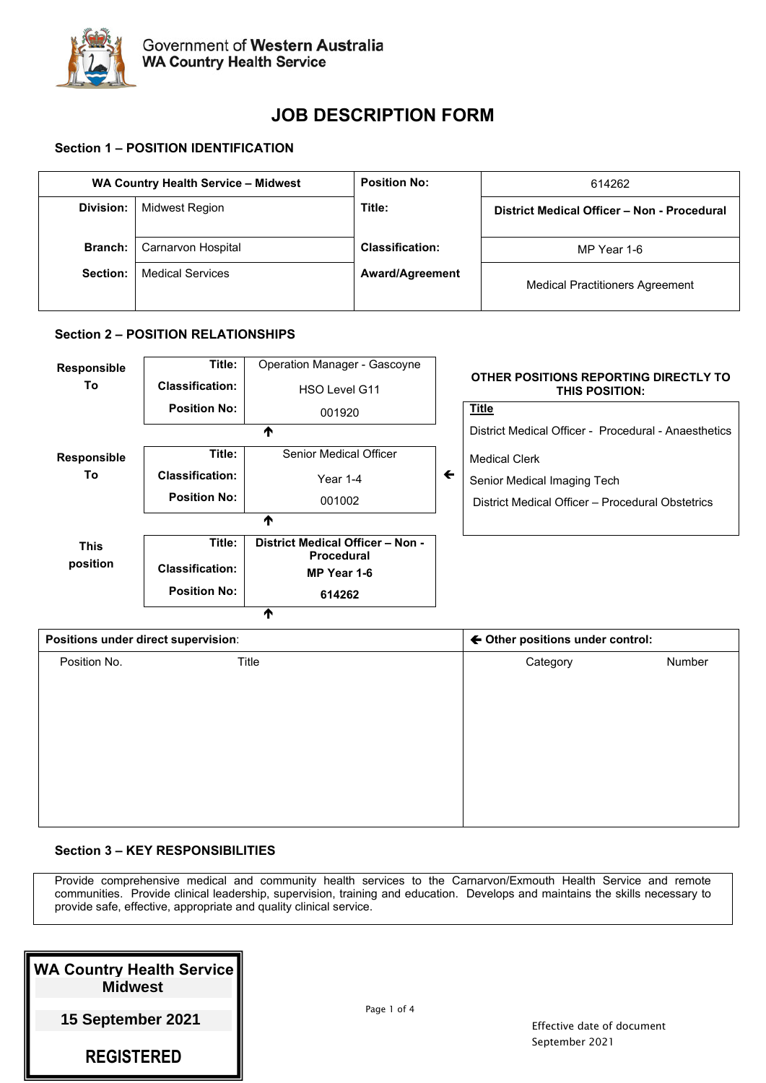

# **JOB DESCRIPTION FORM**

# **Section 1 – POSITION IDENTIFICATION**

| WA Country Health Service - Midwest |                         | <b>Position No:</b>    | 614262                                      |
|-------------------------------------|-------------------------|------------------------|---------------------------------------------|
| Division:                           | Midwest Region          | Title:                 | District Medical Officer - Non - Procedural |
| <b>Branch:</b>                      | Carnarvon Hospital      | <b>Classification:</b> | MP Year 1-6                                 |
| Section:                            | <b>Medical Services</b> | <b>Award/Agreement</b> | <b>Medical Practitioners Agreement</b>      |

## **Section 2 – POSITION RELATIONSHIPS**



| Positions under direct supervision: |       |                    | ← Other positions under control: |  |
|-------------------------------------|-------|--------------------|----------------------------------|--|
| Position No.                        | Title | Number<br>Category |                                  |  |
|                                     |       |                    |                                  |  |
|                                     |       |                    |                                  |  |
|                                     |       |                    |                                  |  |
|                                     |       |                    |                                  |  |
|                                     |       |                    |                                  |  |
|                                     |       |                    |                                  |  |
|                                     |       |                    |                                  |  |

# **Section 3 – KEY RESPONSIBILITIES**

Provide comprehensive medical and community health services to the Carnarvon/Exmouth Health Service and remote communities. Provide clinical leadership, supervision, training and education. Develops and maintains the skills necessary to provide safe, effective, appropriate and quality clinical service.

| <b>WA Country Health Service</b><br><b>Midwest</b> |
|----------------------------------------------------|
| 15 September 2021                                  |
| <b>REGISTERED</b>                                  |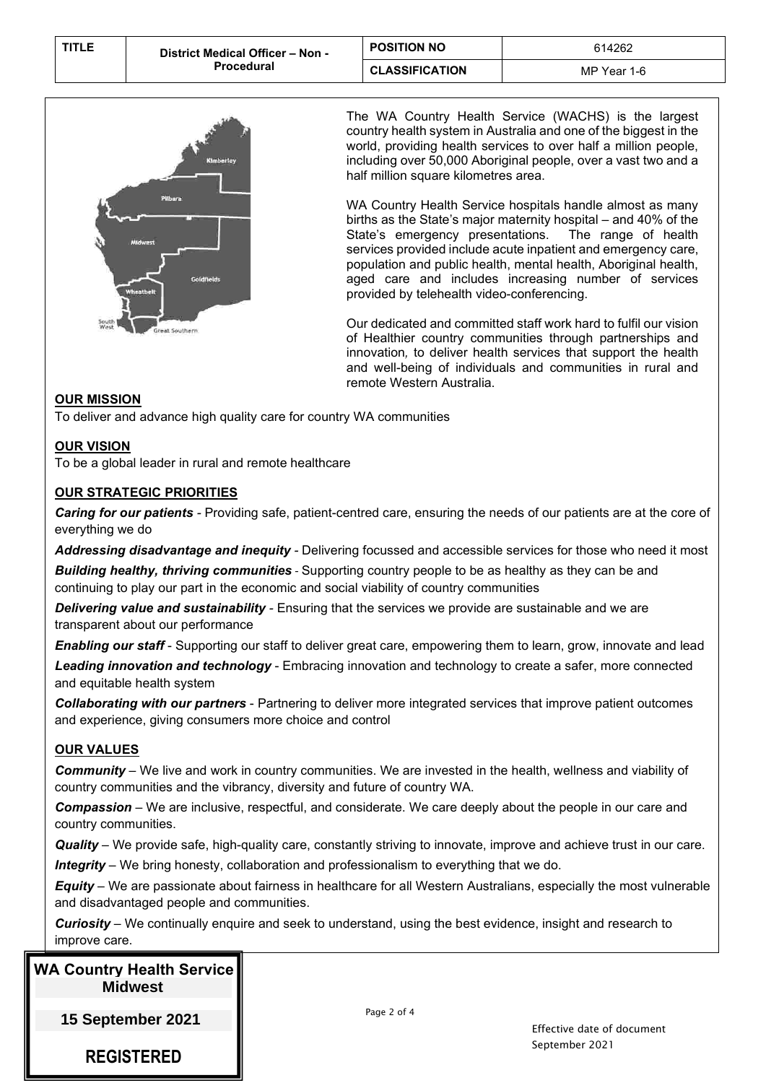| <b>TITLE</b> | District Medical Officer - Non - | <b>POSITION NO</b>    | 614262      |
|--------------|----------------------------------|-----------------------|-------------|
|              | <b>Procedural</b>                | <b>CLASSIFICATION</b> | MP Year 1-6 |



The WA Country Health Service (WACHS) is the largest country health system in Australia and one of the biggest in the world, providing health services to over half a million people, including over 50,000 Aboriginal people, over a vast two and a half million square kilometres area.

WA Country Health Service hospitals handle almost as many births as the State's major maternity hospital – and 40% of the State's emergency presentations. The range of health services provided include acute inpatient and emergency care, population and public health, mental health, Aboriginal health, aged care and includes increasing number of services provided by telehealth video-conferencing.

Our dedicated and committed staff work hard to fulfil our vision of Healthier country communities through partnerships and innovation*,* to deliver health services that support the health and well-being of individuals and communities in rural and remote Western Australia.

# **OUR MISSION**

To deliver and advance high quality care for country WA communities

## **OUR VISION**

To be a global leader in rural and remote healthcare

# **OUR STRATEGIC PRIORITIES**

*Caring for our patients -* Providing safe, patient-centred care, ensuring the needs of our patients are at the core of everything we do

*Addressing disadvantage and inequity -* Delivering focussed and accessible services for those who need it most

*Building healthy, thriving communities* - Supporting country people to be as healthy as they can be and continuing to play our part in the economic and social viability of country communities

*Delivering value and sustainability -* Ensuring that the services we provide are sustainable and we are transparent about our performance

*Enabling our staff* - Supporting our staff to deliver great care, empowering them to learn, grow, innovate and lead *Leading innovation and technology* - Embracing innovation and technology to create a safer, more connected and equitable health system

*Collaborating with our partners* - Partnering to deliver more integrated services that improve patient outcomes and experience, giving consumers more choice and control

# **OUR VALUES**

*Community* – We live and work in country communities. We are invested in the health, wellness and viability of country communities and the vibrancy, diversity and future of country WA.

*Compassion* – We are inclusive, respectful, and considerate. We care deeply about the people in our care and country communities.

*Quality* – We provide safe, high-quality care, constantly striving to innovate, improve and achieve trust in our care. *Integrity* – We bring honesty, collaboration and professionalism to everything that we do.

*Equity* – We are passionate about fairness in healthcare for all Western Australians, especially the most vulnerable and disadvantaged people and communities.

*Curiosity* – We continually enquire and seek to understand, using the best evidence, insight and research to improve care.

| <b>WA Country Health Service</b> |                |  |
|----------------------------------|----------------|--|
|                                  | <b>Midwest</b> |  |

**15 September 2021** 

**REGISTERED**

Page 2 of 4

Effective date of document September 2021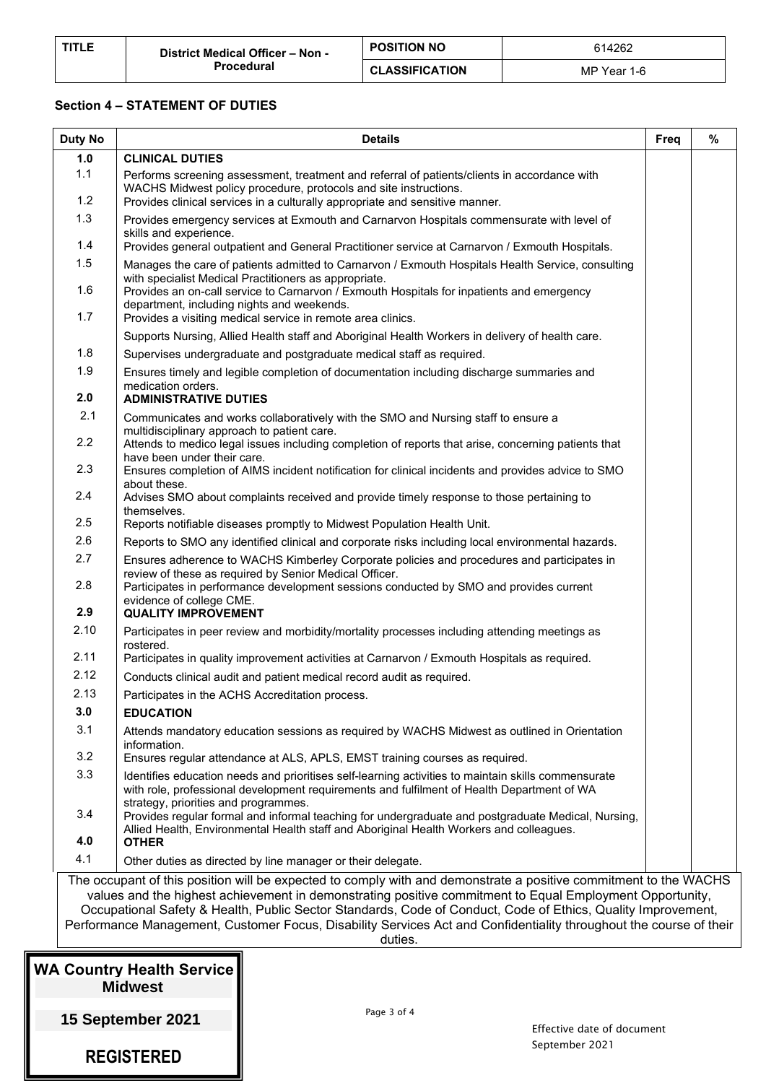| <b>TITLE</b> | District Medical Officer - Non - | <b>POSITION NO</b>    | 614262      |
|--------------|----------------------------------|-----------------------|-------------|
|              | Procedural                       | <b>CLASSIFICATION</b> | MP Year 1-6 |

#### **Section 4 – STATEMENT OF DUTIES**

| <b>Duty No</b>                                                                                                                                                                                                                                                                                                                                            | <b>Details</b>                                                                                                                                                                                                                                          | Freq | % |  |
|-----------------------------------------------------------------------------------------------------------------------------------------------------------------------------------------------------------------------------------------------------------------------------------------------------------------------------------------------------------|---------------------------------------------------------------------------------------------------------------------------------------------------------------------------------------------------------------------------------------------------------|------|---|--|
| 1.0                                                                                                                                                                                                                                                                                                                                                       | <b>CLINICAL DUTIES</b>                                                                                                                                                                                                                                  |      |   |  |
| 1.1<br>1.2                                                                                                                                                                                                                                                                                                                                                | Performs screening assessment, treatment and referral of patients/clients in accordance with<br>WACHS Midwest policy procedure, protocols and site instructions.<br>Provides clinical services in a culturally appropriate and sensitive manner.        |      |   |  |
| 1.3                                                                                                                                                                                                                                                                                                                                                       | Provides emergency services at Exmouth and Carnarvon Hospitals commensurate with level of<br>skills and experience.                                                                                                                                     |      |   |  |
| 1.4                                                                                                                                                                                                                                                                                                                                                       | Provides general outpatient and General Practitioner service at Carnarvon / Exmouth Hospitals.                                                                                                                                                          |      |   |  |
| 1.5<br>1.6                                                                                                                                                                                                                                                                                                                                                | Manages the care of patients admitted to Carnarvon / Exmouth Hospitals Health Service, consulting<br>with specialist Medical Practitioners as appropriate.<br>Provides an on-call service to Carnarvon / Exmouth Hospitals for inpatients and emergency |      |   |  |
| 1.7                                                                                                                                                                                                                                                                                                                                                       | department, including nights and weekends.<br>Provides a visiting medical service in remote area clinics.                                                                                                                                               |      |   |  |
|                                                                                                                                                                                                                                                                                                                                                           | Supports Nursing, Allied Health staff and Aboriginal Health Workers in delivery of health care.                                                                                                                                                         |      |   |  |
| 1.8                                                                                                                                                                                                                                                                                                                                                       | Supervises undergraduate and postgraduate medical staff as required.                                                                                                                                                                                    |      |   |  |
| 1.9<br>2.0                                                                                                                                                                                                                                                                                                                                                | Ensures timely and legible completion of documentation including discharge summaries and<br>medication orders.<br><b>ADMINISTRATIVE DUTIES</b>                                                                                                          |      |   |  |
| 2.1                                                                                                                                                                                                                                                                                                                                                       | Communicates and works collaboratively with the SMO and Nursing staff to ensure a<br>multidisciplinary approach to patient care.                                                                                                                        |      |   |  |
| 2.2                                                                                                                                                                                                                                                                                                                                                       | Attends to medico legal issues including completion of reports that arise, concerning patients that<br>have been under their care.                                                                                                                      |      |   |  |
| 2.3                                                                                                                                                                                                                                                                                                                                                       | Ensures completion of AIMS incident notification for clinical incidents and provides advice to SMO<br>about these.                                                                                                                                      |      |   |  |
| 2.4<br>2.5                                                                                                                                                                                                                                                                                                                                                | Advises SMO about complaints received and provide timely response to those pertaining to<br>themselves.                                                                                                                                                 |      |   |  |
| 2.6                                                                                                                                                                                                                                                                                                                                                       | Reports notifiable diseases promptly to Midwest Population Health Unit.                                                                                                                                                                                 |      |   |  |
| 2.7                                                                                                                                                                                                                                                                                                                                                       | Reports to SMO any identified clinical and corporate risks including local environmental hazards.                                                                                                                                                       |      |   |  |
| 2.8                                                                                                                                                                                                                                                                                                                                                       | Ensures adherence to WACHS Kimberley Corporate policies and procedures and participates in<br>review of these as required by Senior Medical Officer.<br>Participates in performance development sessions conducted by SMO and provides current          |      |   |  |
| 2.9                                                                                                                                                                                                                                                                                                                                                       | evidence of college CME.<br><b>QUALITY IMPROVEMENT</b>                                                                                                                                                                                                  |      |   |  |
| 2.10                                                                                                                                                                                                                                                                                                                                                      | Participates in peer review and morbidity/mortality processes including attending meetings as<br>rostered.                                                                                                                                              |      |   |  |
| 2.11                                                                                                                                                                                                                                                                                                                                                      | Participates in quality improvement activities at Carnarvon / Exmouth Hospitals as required.                                                                                                                                                            |      |   |  |
| 2.12                                                                                                                                                                                                                                                                                                                                                      | Conducts clinical audit and patient medical record audit as required.                                                                                                                                                                                   |      |   |  |
| 2.13                                                                                                                                                                                                                                                                                                                                                      | Participates in the ACHS Accreditation process.                                                                                                                                                                                                         |      |   |  |
| 3.0                                                                                                                                                                                                                                                                                                                                                       | <b>EDUCATION</b>                                                                                                                                                                                                                                        |      |   |  |
| 3.1                                                                                                                                                                                                                                                                                                                                                       | Attends mandatory education sessions as required by WACHS Midwest as outlined in Orientation<br>information.                                                                                                                                            |      |   |  |
| 3.2                                                                                                                                                                                                                                                                                                                                                       | Ensures regular attendance at ALS, APLS, EMST training courses as required.                                                                                                                                                                             |      |   |  |
| 3.3                                                                                                                                                                                                                                                                                                                                                       | Identifies education needs and prioritises self-learning activities to maintain skills commensurate<br>with role, professional development requirements and fulfilment of Health Department of WA<br>strategy, priorities and programmes.               |      |   |  |
| 3.4<br>4.0                                                                                                                                                                                                                                                                                                                                                | Provides regular formal and informal teaching for undergraduate and postgraduate Medical, Nursing,<br>Allied Health, Environmental Health staff and Aboriginal Health Workers and colleagues.<br><b>OTHER</b>                                           |      |   |  |
| 4.1                                                                                                                                                                                                                                                                                                                                                       | Other duties as directed by line manager or their delegate.                                                                                                                                                                                             |      |   |  |
|                                                                                                                                                                                                                                                                                                                                                           | The occupant of this position will be expected to comply with and demonstrate a positive commitment to the WACHS                                                                                                                                        |      |   |  |
| values and the highest achievement in demonstrating positive commitment to Equal Employment Opportunity,<br>Occupational Safety & Health, Public Sector Standards, Code of Conduct, Code of Ethics, Quality Improvement,<br>Performance Management, Customer Focus, Disability Services Act and Confidentiality throughout the course of their<br>duties. |                                                                                                                                                                                                                                                         |      |   |  |

| <b>WA Country Health Service</b> |  |
|----------------------------------|--|
| <b>Midwest</b>                   |  |

**15 September 2021** 

**REGISTERED**